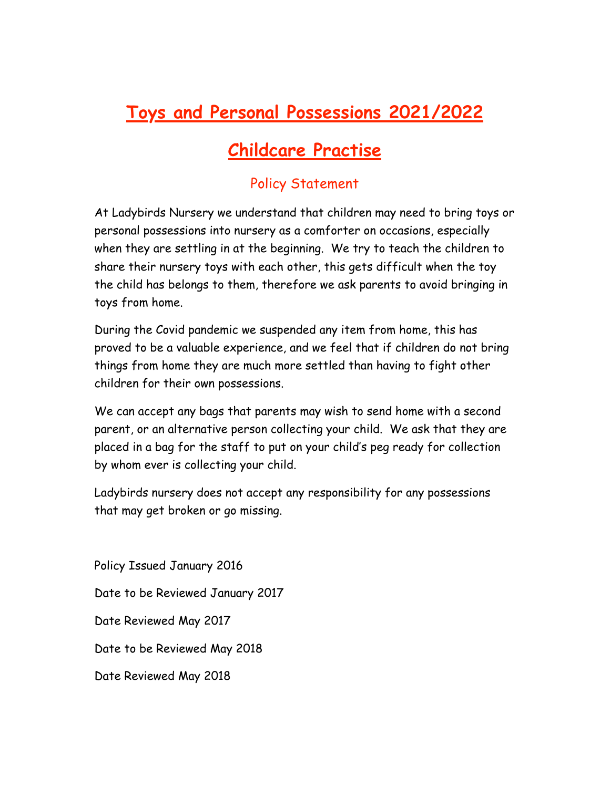## **Toys and Personal Possessions 2021/2022**

## **Childcare Practise**

## Policy Statement

At Ladybirds Nursery we understand that children may need to bring toys or personal possessions into nursery as a comforter on occasions, especially when they are settling in at the beginning. We try to teach the children to share their nursery toys with each other, this gets difficult when the toy the child has belongs to them, therefore we ask parents to avoid bringing in toys from home.

During the Covid pandemic we suspended any item from home, this has proved to be a valuable experience, and we feel that if children do not bring things from home they are much more settled than having to fight other children for their own possessions.

We can accept any bags that parents may wish to send home with a second parent, or an alternative person collecting your child. We ask that they are placed in a bag for the staff to put on your child's peg ready for collection by whom ever is collecting your child.

Ladybirds nursery does not accept any responsibility for any possessions that may get broken or go missing.

Policy Issued January 2016 Date to be Reviewed January 2017 Date Reviewed May 2017 Date to be Reviewed May 2018 Date Reviewed May 2018